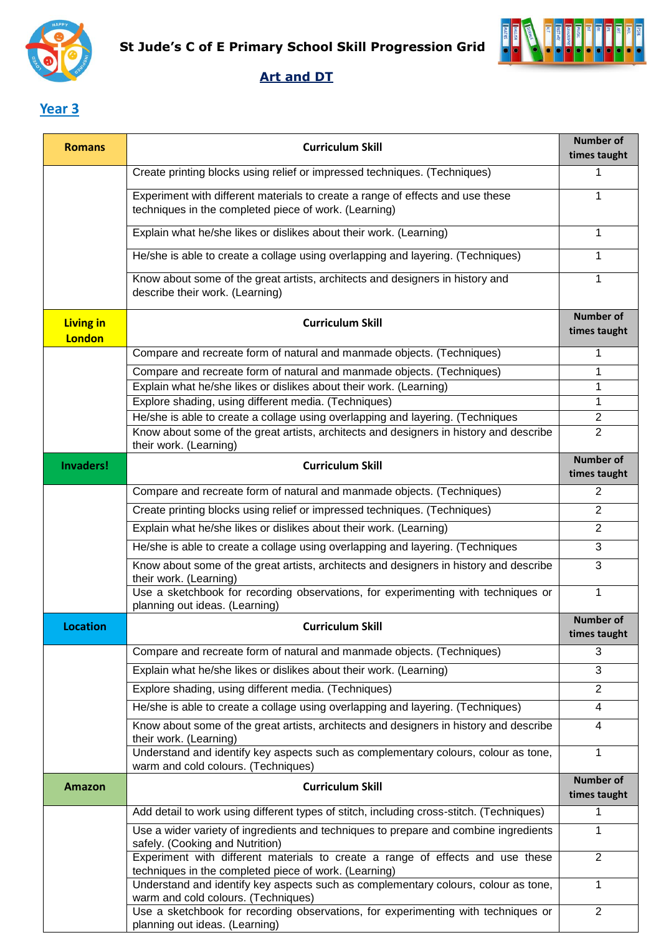



| <b>Romans</b>                     | <b>Curriculum Skill</b>                                                                                                                                                                            | <b>Number of</b><br>times taught |
|-----------------------------------|----------------------------------------------------------------------------------------------------------------------------------------------------------------------------------------------------|----------------------------------|
|                                   | Create printing blocks using relief or impressed techniques. (Techniques)                                                                                                                          | 1                                |
|                                   | Experiment with different materials to create a range of effects and use these<br>techniques in the completed piece of work. (Learning)                                                            | 1                                |
|                                   | Explain what he/she likes or dislikes about their work. (Learning)                                                                                                                                 | 1                                |
|                                   | He/she is able to create a collage using overlapping and layering. (Techniques)                                                                                                                    | 1                                |
|                                   | Know about some of the great artists, architects and designers in history and<br>describe their work. (Learning)                                                                                   | 1                                |
| <b>Living in</b><br><b>London</b> | <b>Curriculum Skill</b>                                                                                                                                                                            | <b>Number of</b><br>times taught |
|                                   | Compare and recreate form of natural and manmade objects. (Techniques)                                                                                                                             | 1                                |
|                                   | Compare and recreate form of natural and manmade objects. (Techniques)                                                                                                                             | 1                                |
|                                   | Explain what he/she likes or dislikes about their work. (Learning)                                                                                                                                 | 1                                |
|                                   | Explore shading, using different media. (Techniques)                                                                                                                                               | $\mathbf{1}$                     |
|                                   | He/she is able to create a collage using overlapping and layering. (Techniques<br>Know about some of the great artists, architects and designers in history and describe<br>their work. (Learning) | $\overline{2}$<br>$\overline{2}$ |
| <b>Invaders!</b>                  | <b>Curriculum Skill</b>                                                                                                                                                                            | <b>Number of</b><br>times taught |
|                                   | Compare and recreate form of natural and manmade objects. (Techniques)                                                                                                                             | $\overline{2}$                   |
|                                   | Create printing blocks using relief or impressed techniques. (Techniques)                                                                                                                          | 2                                |
|                                   | Explain what he/she likes or dislikes about their work. (Learning)                                                                                                                                 | $\overline{2}$                   |
|                                   | He/she is able to create a collage using overlapping and layering. (Techniques                                                                                                                     | 3                                |
|                                   | Know about some of the great artists, architects and designers in history and describe<br>their work. (Learning)                                                                                   | 3                                |
|                                   | Use a sketchbook for recording observations, for experimenting with techniques or<br>planning out ideas. (Learning)                                                                                | $\mathbf 1$                      |
| <b>Location</b>                   | <b>Curriculum Skill</b>                                                                                                                                                                            | <b>Number of</b><br>times taught |
|                                   | Compare and recreate form of natural and manmade objects. (Techniques)                                                                                                                             | 3                                |
|                                   | Explain what he/she likes or dislikes about their work. (Learning)                                                                                                                                 | 3                                |
|                                   | Explore shading, using different media. (Techniques)                                                                                                                                               | $\overline{2}$                   |
|                                   | He/she is able to create a collage using overlapping and layering. (Techniques)                                                                                                                    | 4                                |
|                                   | Know about some of the great artists, architects and designers in history and describe<br>their work. (Learning)                                                                                   | 4                                |
|                                   | Understand and identify key aspects such as complementary colours, colour as tone,<br>warm and cold colours. (Techniques)                                                                          | 1                                |
| <b>Amazon</b>                     | <b>Curriculum Skill</b>                                                                                                                                                                            | <b>Number of</b><br>times taught |
|                                   | Add detail to work using different types of stitch, including cross-stitch. (Techniques)                                                                                                           | 1                                |
|                                   | Use a wider variety of ingredients and techniques to prepare and combine ingredients<br>safely. (Cooking and Nutrition)                                                                            | $\mathbf{1}$                     |
|                                   | Experiment with different materials to create a range of effects and use these<br>techniques in the completed piece of work. (Learning)                                                            | $\overline{2}$                   |
|                                   | Understand and identify key aspects such as complementary colours, colour as tone,<br>warm and cold colours. (Techniques)                                                                          | $\mathbf{1}$                     |
|                                   | Use a sketchbook for recording observations, for experimenting with techniques or<br>planning out ideas. (Learning)                                                                                | $\overline{2}$                   |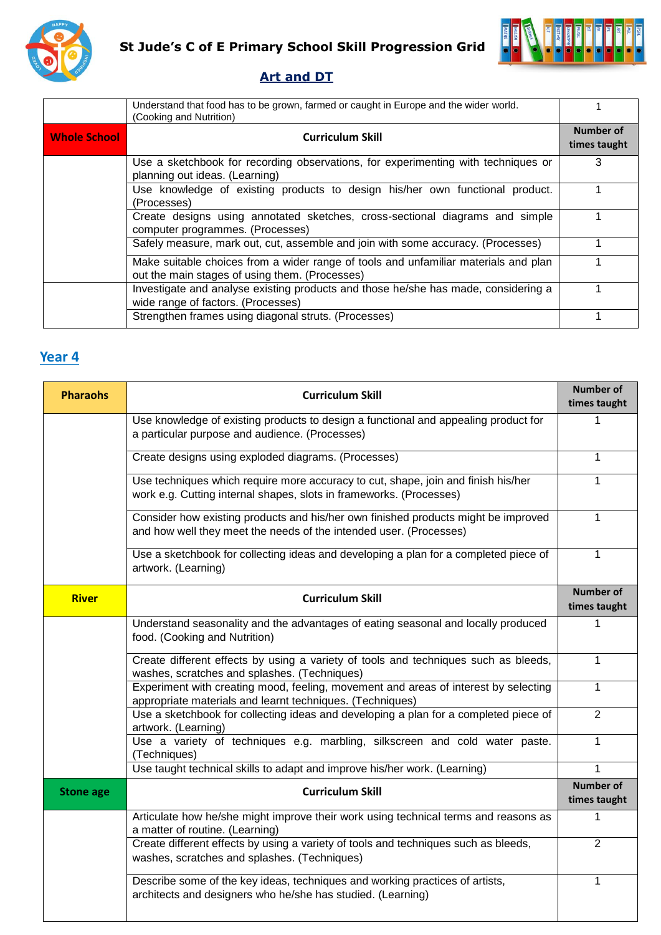



|                     | Understand that food has to be grown, farmed or caught in Europe and the wider world.<br>(Cooking and Nutrition)                      |                           |
|---------------------|---------------------------------------------------------------------------------------------------------------------------------------|---------------------------|
| <b>Whole School</b> | <b>Curriculum Skill</b>                                                                                                               | Number of<br>times taught |
|                     | Use a sketchbook for recording observations, for experimenting with techniques or<br>planning out ideas. (Learning)                   | 3                         |
|                     | Use knowledge of existing products to design his/her own functional product.<br>(Processes)                                           |                           |
|                     | Create designs using annotated sketches, cross-sectional diagrams and simple<br>computer programmes. (Processes)                      |                           |
|                     | Safely measure, mark out, cut, assemble and join with some accuracy. (Processes)                                                      |                           |
|                     | Make suitable choices from a wider range of tools and unfamiliar materials and plan<br>out the main stages of using them. (Processes) |                           |
|                     | Investigate and analyse existing products and those he/she has made, considering a<br>wide range of factors. (Processes)              |                           |
|                     | Strengthen frames using diagonal struts. (Processes)                                                                                  |                           |

| <b>Pharaohs</b>  | <b>Curriculum Skill</b>                                                                                                                                  | <b>Number of</b><br>times taught |
|------------------|----------------------------------------------------------------------------------------------------------------------------------------------------------|----------------------------------|
|                  | Use knowledge of existing products to design a functional and appealing product for<br>a particular purpose and audience. (Processes)                    | 1                                |
|                  | Create designs using exploded diagrams. (Processes)                                                                                                      | $\mathbf{1}$                     |
|                  | Use techniques which require more accuracy to cut, shape, join and finish his/her<br>work e.g. Cutting internal shapes, slots in frameworks. (Processes) | 1                                |
|                  | Consider how existing products and his/her own finished products might be improved<br>and how well they meet the needs of the intended user. (Processes) | 1                                |
|                  | Use a sketchbook for collecting ideas and developing a plan for a completed piece of<br>artwork. (Learning)                                              | $\mathbf{1}$                     |
| <b>River</b>     | <b>Curriculum Skill</b>                                                                                                                                  | <b>Number of</b><br>times taught |
|                  | Understand seasonality and the advantages of eating seasonal and locally produced<br>food. (Cooking and Nutrition)                                       | 1                                |
|                  | Create different effects by using a variety of tools and techniques such as bleeds,<br>washes, scratches and splashes. (Techniques)                      | $\mathbf{1}$                     |
|                  | Experiment with creating mood, feeling, movement and areas of interest by selecting<br>appropriate materials and learnt techniques. (Techniques)         | 1                                |
|                  | Use a sketchbook for collecting ideas and developing a plan for a completed piece of<br>artwork. (Learning)                                              | $\overline{2}$                   |
|                  | Use a variety of techniques e.g. marbling, silkscreen and cold water paste.<br>(Techniques)                                                              | $\mathbf{1}$                     |
|                  | Use taught technical skills to adapt and improve his/her work. (Learning)                                                                                | $\mathbf{1}$                     |
| <b>Stone age</b> | <b>Curriculum Skill</b>                                                                                                                                  | <b>Number of</b><br>times taught |
|                  | Articulate how he/she might improve their work using technical terms and reasons as<br>a matter of routine. (Learning)                                   | 1                                |
|                  | Create different effects by using a variety of tools and techniques such as bleeds,<br>washes, scratches and splashes. (Techniques)                      | $\overline{2}$                   |
|                  | Describe some of the key ideas, techniques and working practices of artists,<br>architects and designers who he/she has studied. (Learning)              | $\mathbf{1}$                     |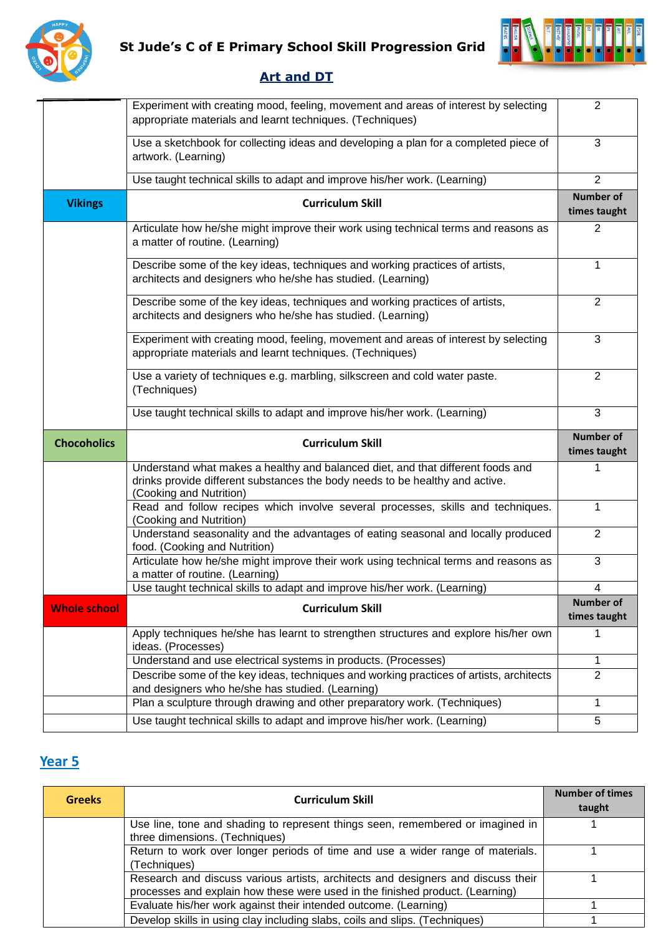



|                     | Experiment with creating mood, feeling, movement and areas of interest by selecting                                                                             | $\overline{2}$                   |
|---------------------|-----------------------------------------------------------------------------------------------------------------------------------------------------------------|----------------------------------|
|                     | appropriate materials and learnt techniques. (Techniques)                                                                                                       |                                  |
|                     | Use a sketchbook for collecting ideas and developing a plan for a completed piece of                                                                            | 3                                |
|                     | artwork. (Learning)                                                                                                                                             |                                  |
|                     | Use taught technical skills to adapt and improve his/her work. (Learning)                                                                                       | $\overline{2}$                   |
| <b>Vikings</b>      | <b>Curriculum Skill</b>                                                                                                                                         | <b>Number of</b><br>times taught |
|                     | Articulate how he/she might improve their work using technical terms and reasons as<br>a matter of routine. (Learning)                                          | 2                                |
|                     | Describe some of the key ideas, techniques and working practices of artists,<br>architects and designers who he/she has studied. (Learning)                     | 1                                |
|                     | Describe some of the key ideas, techniques and working practices of artists,<br>architects and designers who he/she has studied. (Learning)                     | 2                                |
|                     | Experiment with creating mood, feeling, movement and areas of interest by selecting<br>appropriate materials and learnt techniques. (Techniques)                | 3                                |
|                     | Use a variety of techniques e.g. marbling, silkscreen and cold water paste.<br>(Techniques)                                                                     | 2                                |
|                     | Use taught technical skills to adapt and improve his/her work. (Learning)                                                                                       | 3                                |
|                     |                                                                                                                                                                 |                                  |
| <b>Chocoholics</b>  | <b>Curriculum Skill</b>                                                                                                                                         | <b>Number of</b><br>times taught |
|                     | Understand what makes a healthy and balanced diet, and that different foods and<br>drinks provide different substances the body needs to be healthy and active. | 1                                |
|                     | (Cooking and Nutrition)<br>Read and follow recipes which involve several processes, skills and techniques.<br>(Cooking and Nutrition)                           | $\mathbf 1$                      |
|                     | Understand seasonality and the advantages of eating seasonal and locally produced<br>food. (Cooking and Nutrition)                                              | 2                                |
|                     | Articulate how he/she might improve their work using technical terms and reasons as<br>a matter of routine. (Learning)                                          | 3                                |
|                     | Use taught technical skills to adapt and improve his/her work. (Learning)                                                                                       | 4                                |
| <b>Whole school</b> | <b>Curriculum Skill</b>                                                                                                                                         | <b>Number of</b><br>times taught |
|                     | Apply techniques he/she has learnt to strengthen structures and explore his/her own<br>ideas. (Processes)                                                       | 1                                |
|                     | Understand and use electrical systems in products. (Processes)                                                                                                  | 1                                |
|                     | Describe some of the key ideas, techniques and working practices of artists, architects<br>and designers who he/she has studied. (Learning)                     | $\overline{2}$                   |
|                     | Plan a sculpture through drawing and other preparatory work. (Techniques)                                                                                       | 1                                |

| <b>Greeks</b> | <b>Curriculum Skill</b>                                                                                                                                           | <b>Number of times</b><br>taught |
|---------------|-------------------------------------------------------------------------------------------------------------------------------------------------------------------|----------------------------------|
|               | Use line, tone and shading to represent things seen, remembered or imagined in<br>three dimensions. (Techniques)                                                  |                                  |
|               | Return to work over longer periods of time and use a wider range of materials.<br>(Techniques)                                                                    |                                  |
|               | Research and discuss various artists, architects and designers and discuss their<br>processes and explain how these were used in the finished product. (Learning) |                                  |
|               | Evaluate his/her work against their intended outcome. (Learning)                                                                                                  |                                  |
|               | Develop skills in using clay including slabs, coils and slips. (Techniques)                                                                                       |                                  |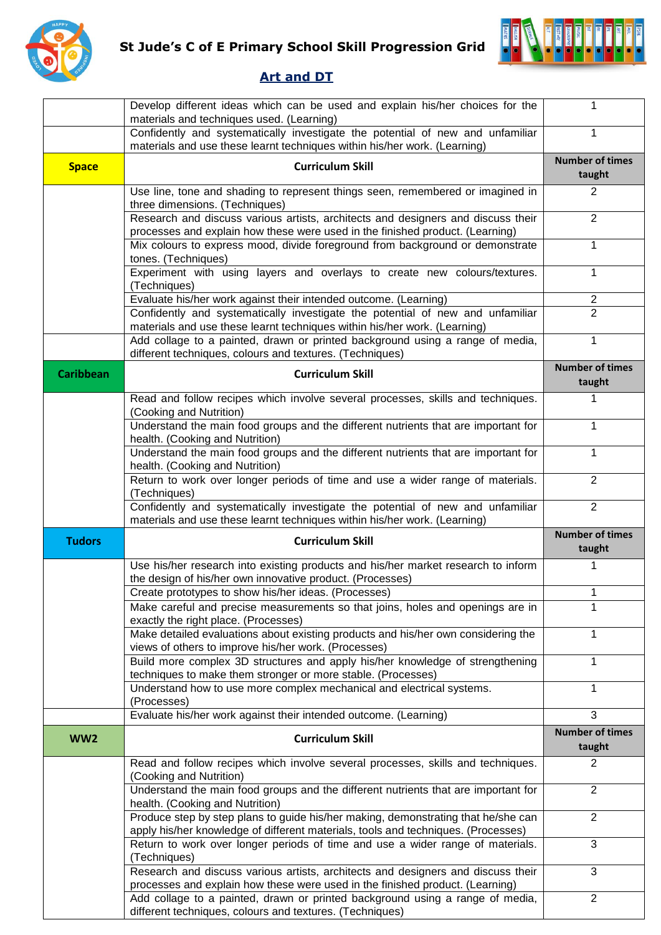



|                  | Develop different ideas which can be used and explain his/her choices for the<br>materials and techniques used. (Learning)                                                                                                                         | 1                                |
|------------------|----------------------------------------------------------------------------------------------------------------------------------------------------------------------------------------------------------------------------------------------------|----------------------------------|
|                  | Confidently and systematically investigate the potential of new and unfamiliar<br>materials and use these learnt techniques within his/her work. (Learning)                                                                                        | 1                                |
| <b>Space</b>     | <b>Curriculum Skill</b>                                                                                                                                                                                                                            | <b>Number of times</b><br>taught |
|                  | Use line, tone and shading to represent things seen, remembered or imagined in<br>three dimensions. (Techniques)                                                                                                                                   | 2                                |
|                  | Research and discuss various artists, architects and designers and discuss their<br>processes and explain how these were used in the finished product. (Learning)                                                                                  | $\overline{2}$                   |
|                  | Mix colours to express mood, divide foreground from background or demonstrate<br>tones. (Techniques)                                                                                                                                               | 1                                |
|                  | Experiment with using layers and overlays to create new colours/textures.<br>(Techniques)                                                                                                                                                          | 1                                |
|                  | Evaluate his/her work against their intended outcome. (Learning)                                                                                                                                                                                   | 2                                |
|                  | Confidently and systematically investigate the potential of new and unfamiliar<br>materials and use these learnt techniques within his/her work. (Learning)                                                                                        | $\overline{2}$                   |
|                  | Add collage to a painted, drawn or printed background using a range of media,<br>different techniques, colours and textures. (Techniques)                                                                                                          | $\mathbf{1}$                     |
| <b>Caribbean</b> | <b>Curriculum Skill</b>                                                                                                                                                                                                                            | <b>Number of times</b><br>taught |
|                  | Read and follow recipes which involve several processes, skills and techniques.<br>(Cooking and Nutrition)                                                                                                                                         | 1                                |
|                  | Understand the main food groups and the different nutrients that are important for<br>health. (Cooking and Nutrition)                                                                                                                              | 1                                |
|                  | Understand the main food groups and the different nutrients that are important for<br>health. (Cooking and Nutrition)                                                                                                                              | 1                                |
|                  | Return to work over longer periods of time and use a wider range of materials.<br>(Techniques)                                                                                                                                                     | $\overline{2}$                   |
|                  | Confidently and systematically investigate the potential of new and unfamiliar<br>materials and use these learnt techniques within his/her work. (Learning)                                                                                        | $\overline{2}$                   |
| <b>Tudors</b>    | <b>Curriculum Skill</b>                                                                                                                                                                                                                            | <b>Number of times</b><br>taught |
|                  | Use his/her research into existing products and his/her market research to inform<br>the design of his/her own innovative product. (Processes)                                                                                                     | 1                                |
|                  | Create prototypes to show his/her ideas. (Processes)                                                                                                                                                                                               | $\mathbf{1}$                     |
|                  | Make careful and precise measurements so that joins, holes and openings are in<br>exactly the right place. (Processes)                                                                                                                             | 1                                |
|                  | Make detailed evaluations about existing products and his/her own considering the<br>views of others to improve his/her work. (Processes)                                                                                                          | 1                                |
|                  | Build more complex 3D structures and apply his/her knowledge of strengthening<br>techniques to make them stronger or more stable. (Processes)                                                                                                      | 1                                |
|                  | Understand how to use more complex mechanical and electrical systems.<br>(Processes)                                                                                                                                                               | 1                                |
|                  | Evaluate his/her work against their intended outcome. (Learning)                                                                                                                                                                                   | 3                                |
| WW <sub>2</sub>  | <b>Curriculum Skill</b>                                                                                                                                                                                                                            | <b>Number of times</b><br>taught |
|                  | Read and follow recipes which involve several processes, skills and techniques.<br>(Cooking and Nutrition)                                                                                                                                         | $\overline{2}$                   |
|                  |                                                                                                                                                                                                                                                    |                                  |
|                  | Understand the main food groups and the different nutrients that are important for<br>health. (Cooking and Nutrition)                                                                                                                              | $\overline{2}$                   |
|                  | Produce step by step plans to guide his/her making, demonstrating that he/she can<br>apply his/her knowledge of different materials, tools and techniques. (Processes)                                                                             | $\overline{2}$                   |
|                  | Return to work over longer periods of time and use a wider range of materials.<br>(Techniques)                                                                                                                                                     | 3                                |
|                  | Research and discuss various artists, architects and designers and discuss their<br>processes and explain how these were used in the finished product. (Learning)<br>Add collage to a painted, drawn or printed background using a range of media, | 3<br>$\overline{2}$              |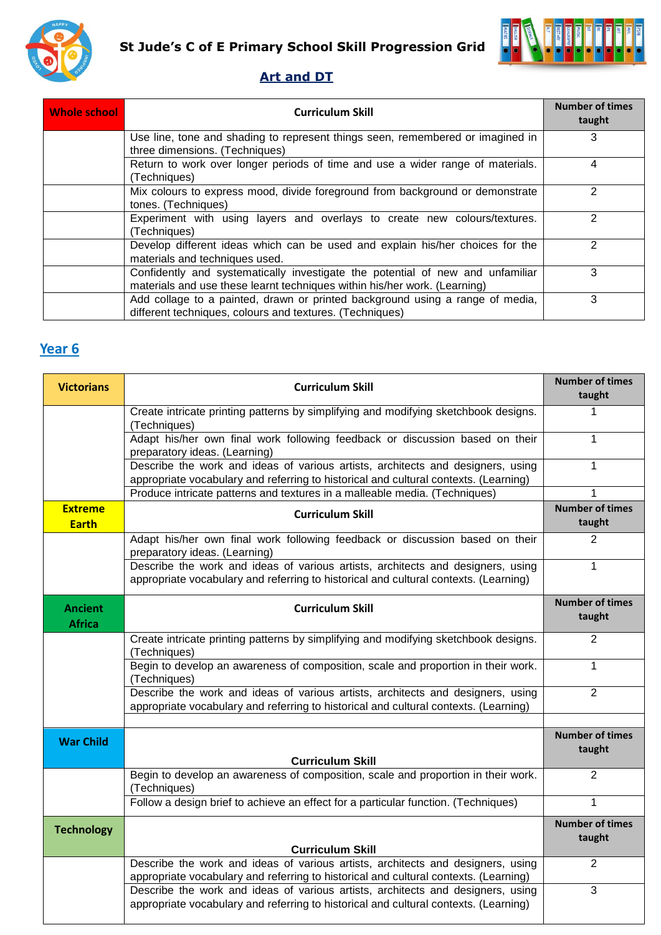



| <b>Whole school</b> | <b>Curriculum Skill</b>                                                                                                                                     | <b>Number of times</b><br>taught |
|---------------------|-------------------------------------------------------------------------------------------------------------------------------------------------------------|----------------------------------|
|                     | Use line, tone and shading to represent things seen, remembered or imagined in<br>three dimensions. (Techniques)                                            | 3                                |
|                     | Return to work over longer periods of time and use a wider range of materials.<br>(Techniques)                                                              | 4                                |
|                     | Mix colours to express mood, divide foreground from background or demonstrate<br>tones. (Techniques)                                                        | 2                                |
|                     | Experiment with using layers and overlays to create new colours/textures.<br>(Techniques)                                                                   | 2                                |
|                     | Develop different ideas which can be used and explain his/her choices for the<br>materials and techniques used.                                             | っ                                |
|                     | Confidently and systematically investigate the potential of new and unfamiliar<br>materials and use these learnt techniques within his/her work. (Learning) | 3                                |
|                     | Add collage to a painted, drawn or printed background using a range of media,<br>different techniques, colours and textures. (Techniques)                   | 3                                |

| <b>Victorians</b>               | <b>Curriculum Skill</b>                                                                                                                                                 | <b>Number of times</b><br>taught |
|---------------------------------|-------------------------------------------------------------------------------------------------------------------------------------------------------------------------|----------------------------------|
|                                 | Create intricate printing patterns by simplifying and modifying sketchbook designs.<br>(Techniques)                                                                     | 1                                |
|                                 | Adapt his/her own final work following feedback or discussion based on their<br>preparatory ideas. (Learning)                                                           | 1                                |
|                                 | Describe the work and ideas of various artists, architects and designers, using<br>appropriate vocabulary and referring to historical and cultural contexts. (Learning) | $\mathbf{1}$                     |
|                                 | Produce intricate patterns and textures in a malleable media. (Techniques)                                                                                              | 1                                |
| <b>Extreme</b><br><b>Earth</b>  | <b>Curriculum Skill</b>                                                                                                                                                 | <b>Number of times</b><br>taught |
|                                 | Adapt his/her own final work following feedback or discussion based on their<br>preparatory ideas. (Learning)                                                           | $\overline{2}$                   |
|                                 | Describe the work and ideas of various artists, architects and designers, using<br>appropriate vocabulary and referring to historical and cultural contexts. (Learning) | $\mathbf{1}$                     |
| <b>Ancient</b><br><b>Africa</b> | <b>Curriculum Skill</b>                                                                                                                                                 | <b>Number of times</b><br>taught |
|                                 | Create intricate printing patterns by simplifying and modifying sketchbook designs.<br>(Techniques)                                                                     | 2                                |
|                                 | Begin to develop an awareness of composition, scale and proportion in their work.<br>(Techniques)                                                                       | $\mathbf{1}$                     |
|                                 | Describe the work and ideas of various artists, architects and designers, using<br>appropriate vocabulary and referring to historical and cultural contexts. (Learning) | $\overline{2}$                   |
|                                 |                                                                                                                                                                         | <b>Number of times</b>           |
| <b>War Child</b>                | <b>Curriculum Skill</b>                                                                                                                                                 | taught                           |
|                                 | Begin to develop an awareness of composition, scale and proportion in their work.<br>(Techniques)                                                                       | $\overline{2}$                   |
|                                 | Follow a design brief to achieve an effect for a particular function. (Techniques)                                                                                      | $\mathbf{1}$                     |
| <b>Technology</b>               |                                                                                                                                                                         | <b>Number of times</b>           |
|                                 | <b>Curriculum Skill</b>                                                                                                                                                 | taught                           |
|                                 | Describe the work and ideas of various artists, architects and designers, using                                                                                         | $\overline{2}$                   |
|                                 | appropriate vocabulary and referring to historical and cultural contexts. (Learning)                                                                                    |                                  |
|                                 | Describe the work and ideas of various artists, architects and designers, using<br>appropriate vocabulary and referring to historical and cultural contexts. (Learning) | 3                                |